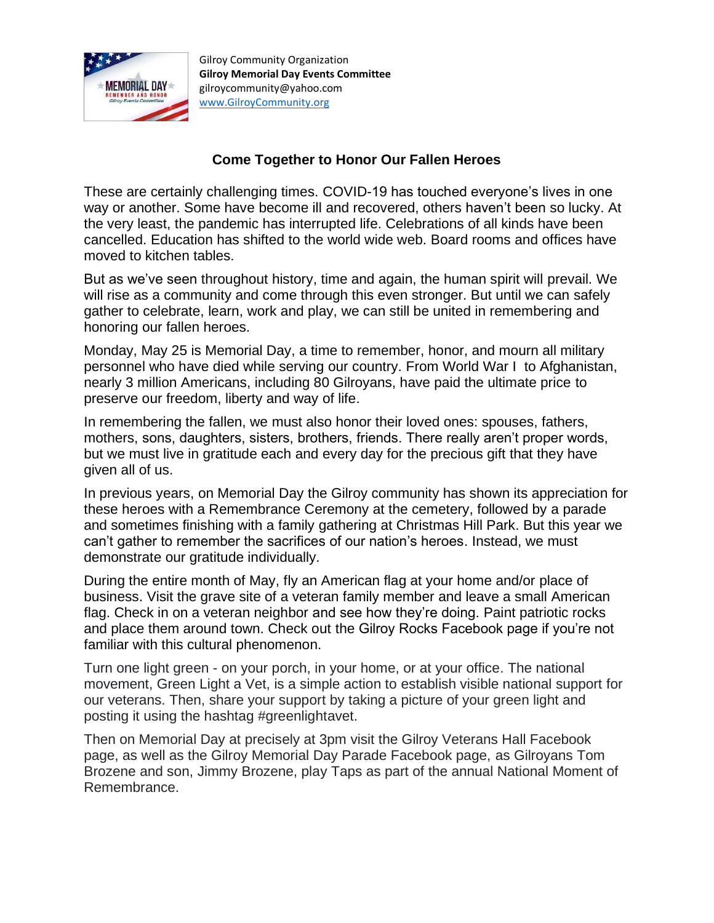

Gilroy Community Organization **Gilroy Memorial Day Events Committee** gilroycommunity@yahoo.com [www.GilroyCommunity.org](http://www.gilroycommunity.org/)

## **Come Together to Honor Our Fallen Heroes**

These are certainly challenging times. COVID-19 has touched everyone's lives in one way or another. Some have become ill and recovered, others haven't been so lucky. At the very least, the pandemic has interrupted life. Celebrations of all kinds have been cancelled. Education has shifted to the world wide web. Board rooms and offices have moved to kitchen tables.

But as we've seen throughout history, time and again, the human spirit will prevail. We will rise as a community and come through this even stronger. But until we can safely gather to celebrate, learn, work and play, we can still be united in remembering and honoring our fallen heroes.

Monday, May 25 is Memorial Day, a time to remember, honor, and mourn all military personnel who have died while serving our country. From World War I to Afghanistan, nearly 3 million Americans, including 80 Gilroyans, have paid the ultimate price to preserve our freedom, liberty and way of life.

In remembering the fallen, we must also honor their loved ones: spouses, fathers, mothers, sons, daughters, sisters, brothers, friends. There really aren't proper words, but we must live in gratitude each and every day for the precious gift that they have given all of us.

In previous years, on Memorial Day the Gilroy community has shown its appreciation for these heroes with a Remembrance Ceremony at the cemetery, followed by a parade and sometimes finishing with a family gathering at Christmas Hill Park. But this year we can't gather to remember the sacrifices of our nation's heroes. Instead, we must demonstrate our gratitude individually.

During the entire month of May, fly an American flag at your home and/or place of business. Visit the grave site of a veteran family member and leave a small American flag. Check in on a veteran neighbor and see how they're doing. Paint patriotic rocks and place them around town. Check out the Gilroy Rocks Facebook page if you're not familiar with this cultural phenomenon.

Turn one light green - on your porch, in your home, or at your office. The national movement, Green Light a Vet, is a simple action to establish visible national support for our veterans. Then, share your support by taking a picture of your green light and posting it using the hashtag #greenlightavet.

Then on Memorial Day at precisely at 3pm visit the Gilroy Veterans Hall Facebook page, as well as the Gilroy Memorial Day Parade Facebook page, as Gilroyans Tom Brozene and son, Jimmy Brozene, play Taps as part of the annual National Moment of Remembrance.